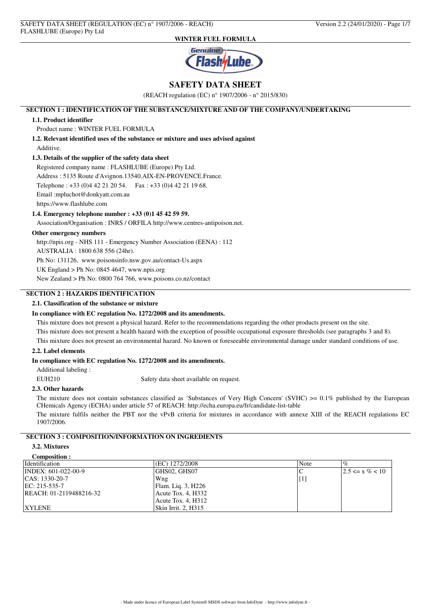

# **SAFETY DATA SHEET**

(REACH regulation (EC) n° 1907/2006 - n° 2015/830)

# **SECTION 1 : IDENTIFICATION OF THE SUBSTANCE/MIXTURE AND OF THE COMPANY/UNDERTAKING**

### **1.1. Product identifier**

Product name : WINTER FUEL FORMULA

**1.2. Relevant identified uses of the substance or mixture and uses advised against** Additive.

### **1.3. Details of the supplier of the safety data sheet**

Registered company name : FLASHLUBE (Europe) Pty Ltd. Address : 5135 Route d'Avignon.13540.AIX-EN-PROVENCE.France. Telephone : +33 (0)4 42 21 20 54. Fax : +33 (0)4 42 21 19 68. Email :mpluchot@donkyatt.com.au https://www.flashlube.com

### **1.4. Emergency telephone number : +33 (0)1 45 42 59 59.**

Association/Organisation : INRS / ORFILA http://www.centres-antipoison.net.

## **Other emergency numbers**

http://npis.org - NHS 111 - Emergency Number Association (EENA) : 112

AUSTRALIA : 1800 638 556 (24hr).

Ph No: 131126, www.poisonsinfo.nsw.gov.au/contact-Us.aspx

UK England > Ph No: 0845 4647, www.npis.org

New Zealand > Ph No: 0800 764 766, www.poisons.co.nz/contact

# **SECTION 2 : HAZARDS IDENTIFICATION**

## **2.1. Classification of the substance or mixture**

#### **In compliance with EC regulation No. 1272/2008 and its amendments.**

This mixture does not present a physical hazard. Refer to the recommendations regarding the other products present on the site. This mixture does not present a health hazard with the exception of possible occupational exposure thresholds (see paragraphs 3 and 8).

This mixture does not present an environmental hazard. No known or foreseeable environmental damage under standard conditions of use.

#### **2.2. Label elements**

### **In compliance with EC regulation No. 1272/2008 and its amendments.**

Additional labeling :

EUH210 Safety data sheet available on request.

### **2.3. Other hazards**

The mixture does not contain substances classified as 'Substances of Very High Concern' (SVHC) >= 0.1% published by the European CHemicals Agency (ECHA) under article 57 of REACH: http://echa.europa.eu/fr/candidate-list-table

The mixture fulfils neither the PBT nor the vPvB criteria for mixtures in accordance with annexe XIII of the REACH regulations EC 1907/2006.

# **SECTION 3 : COMPOSITION/INFORMATION ON INGREDIENTS**

## **3.2. Mixtures**

| Composition :           |                     |                   |                      |
|-------------------------|---------------------|-------------------|----------------------|
| Identification          | (EC) 1272/2008      | Note              | $\%$                 |
| INDEX: 601-022-00-9     | GHS02, GHS07        |                   | $12.5 \le x \% < 10$ |
| $ CAS: 1330-20-7$       | Wng                 | $\lceil 1 \rceil$ |                      |
| EC: 215-535-7           | Flam. Liq. 3, H226  |                   |                      |
| REACH: 01-2119488216-32 | Acute Tox. 4, H332  |                   |                      |
|                         | Acute Tox. 4, H312  |                   |                      |
| <b>XYLENE</b>           | Skin Irrit. 2, H315 |                   |                      |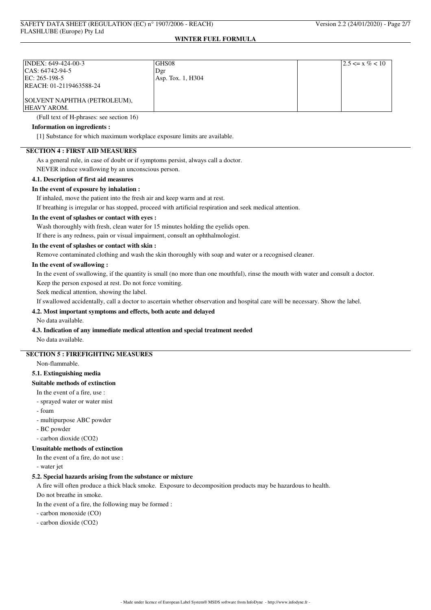| INDEX: 649-424-00-3          | <b>GHS08</b>      | $ 2.5 \le x \% < 10$ |
|------------------------------|-------------------|----------------------|
| CAS: 64742-94-5              | Dgr               |                      |
| EC: 265-198-5                | Asp. Tox. 1, H304 |                      |
| REACH: 01-2119463588-24      |                   |                      |
|                              |                   |                      |
| SOLVENT NAPHTHA (PETROLEUM), |                   |                      |
| <b>HEAVY AROM.</b>           |                   |                      |

(Full text of H-phrases: see section 16)

## **Information on ingredients :**

[1] Substance for which maximum workplace exposure limits are available.

# **SECTION 4 : FIRST AID MEASURES**

As a general rule, in case of doubt or if symptoms persist, always call a doctor.

NEVER induce swallowing by an unconscious person.

## **4.1. Description of first aid measures**

### **In the event of exposure by inhalation :**

If inhaled, move the patient into the fresh air and keep warm and at rest.

If breathing is irregular or has stopped, proceed with artificial respiration and seek medical attention.

### **In the event of splashes or contact with eyes :**

Wash thoroughly with fresh, clean water for 15 minutes holding the eyelids open.

If there is any redness, pain or visual impairment, consult an ophthalmologist.

### **In the event of splashes or contact with skin :**

Remove contaminated clothing and wash the skin thoroughly with soap and water or a recognised cleaner.

### **In the event of swallowing :**

In the event of swallowing, if the quantity is small (no more than one mouthful), rinse the mouth with water and consult a doctor.

Keep the person exposed at rest. Do not force vomiting.

Seek medical attention, showing the label.

If swallowed accidentally, call a doctor to ascertain whether observation and hospital care will be necessary. Show the label.

## **4.2. Most important symptoms and effects, both acute and delayed**

No data available.

### **4.3. Indication of any immediate medical attention and special treatment needed**

No data available.

# **SECTION 5 : FIREFIGHTING MEASURES**

Non-flammable.

#### **5.1. Extinguishing media**

### **Suitable methods of extinction**

- In the event of a fire, use :
- sprayed water or water mist
- foam
- multipurpose ABC powder
- BC powder

- carbon dioxide (CO2)

### **Unsuitable methods of extinction**

In the event of a fire, do not use :

- water jet

#### **5.2. Special hazards arising from the substance or mixture**

A fire will often produce a thick black smoke. Exposure to decomposition products may be hazardous to health.

Do not breathe in smoke.

In the event of a fire, the following may be formed :

- carbon monoxide (CO)

- carbon dioxide (CO2)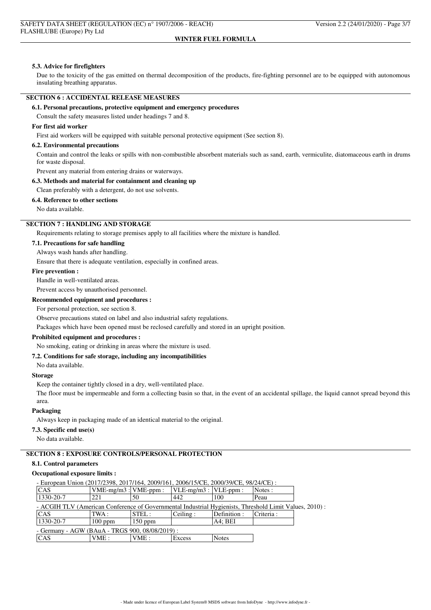### **5.3. Advice for firefighters**

Due to the toxicity of the gas emitted on thermal decomposition of the products, fire-fighting personnel are to be equipped with autonomous insulating breathing apparatus.

### **SECTION 6 : ACCIDENTAL RELEASE MEASURES**

#### **6.1. Personal precautions, protective equipment and emergency procedures**

Consult the safety measures listed under headings 7 and 8.

#### **For first aid worker**

First aid workers will be equipped with suitable personal protective equipment (See section 8).

### **6.2. Environmental precautions**

Contain and control the leaks or spills with non-combustible absorbent materials such as sand, earth, vermiculite, diatomaceous earth in drums for waste disposal.

Prevent any material from entering drains or waterways.

### **6.3. Methods and material for containment and cleaning up**

Clean preferably with a detergent, do not use solvents.

## **6.4. Reference to other sections**

No data available.

### **SECTION 7 : HANDLING AND STORAGE**

Requirements relating to storage premises apply to all facilities where the mixture is handled.

## **7.1. Precautions for safe handling**

Always wash hands after handling.

Ensure that there is adequate ventilation, especially in confined areas.

#### **Fire prevention :**

Handle in well-ventilated areas.

Prevent access by unauthorised personnel.

## **Recommended equipment and procedures :**

For personal protection, see section 8.

Observe precautions stated on label and also industrial safety regulations.

Packages which have been opened must be reclosed carefully and stored in an upright position.

## **Prohibited equipment and procedures :**

No smoking, eating or drinking in areas where the mixture is used.

### **7.2. Conditions for safe storage, including any incompatibilities**

No data available.

## **Storage**

Keep the container tightly closed in a dry, well-ventilated place.

The floor must be impermeable and form a collecting basin so that, in the event of an accidental spillage, the liquid cannot spread beyond this area.

### **Packaging**

Always keep in packaging made of an identical material to the original.

#### **7.3. Specific end use(s)**

No data available.

## **SECTION 8 : EXPOSURE CONTROLS/PERSONAL PROTECTION**

### **8.1. Control parameters**

### **Occupational exposure limits :**

| - European Union (2017/2398, 2017/164, 2009/161, 2006/15/CE, 2000/39/CE, 98/24/CE) :                   |                           |           |                               |              |           |  |
|--------------------------------------------------------------------------------------------------------|---------------------------|-----------|-------------------------------|--------------|-----------|--|
| CAS                                                                                                    | $VME-mg/m3$ : $VME-ppm$ : |           | $ VLE-mg/m3 $ : $ VLE-ppm $ : |              | Notes :   |  |
| 1330-20-7                                                                                              | 221                       | 50        | 442                           | 100          | Peau      |  |
| - ACGIH TLV (American Conference of Governmental Industrial Hygienists, Threshold Limit Values, 2010): |                           |           |                               |              |           |  |
| CAS                                                                                                    | TWA :                     | STEL:     | Ceiling:                      | Definition : | Criteria: |  |
| 1330-20-7                                                                                              | $100$ ppm                 | $150$ ppm |                               | AA: BEI      |           |  |
| - Germany - AGW (BAuA - TRGS 900, 08/08/2019) :                                                        |                           |           |                               |              |           |  |
| CAS                                                                                                    | VME:                      | VME :     | Excess                        | <b>Notes</b> |           |  |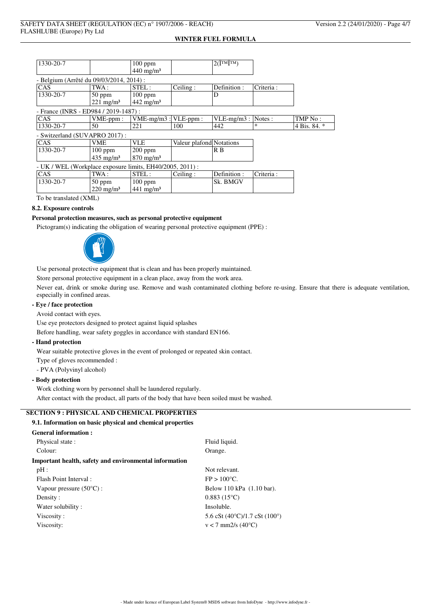| 1330-20-7                                                 |                      | $100$ ppm<br>$440$ mg/m <sup>3</sup> |                          | $2(\hat{\mathbf{I}}^{\text{TM}}\hat{\mathbf{I}}^{\text{TM}})$ |           |              |
|-----------------------------------------------------------|----------------------|--------------------------------------|--------------------------|---------------------------------------------------------------|-----------|--------------|
| - Belgium (Arrêté du 09/03/2014, 2014) :                  |                      |                                      |                          |                                                               |           |              |
| CAS                                                       | TWA :                | STEL:                                | Ceiling:                 | Definition:                                                   | Criteria: |              |
| 1330-20-7                                                 | $50$ ppm             | $100$ ppm                            |                          | D                                                             |           |              |
|                                                           | $221 \text{ mg/m}^3$ | $442$ mg/m <sup>3</sup>              |                          |                                                               |           |              |
| - France (INRS - ED984 / 2019-1487) :                     |                      |                                      |                          |                                                               |           |              |
| CAS                                                       | $VME-ppm$ :          | VME-mg/m3 : VLE-ppm :                |                          | $VLE-mg/m3$ :                                                 | Notes:    | TMP No:      |
| 1330-20-7                                                 | 50                   | 221                                  | 100                      | 442                                                           | $\ast$    | 4 Bis. 84. * |
| - Switzerland (SUVAPRO 2017):                             |                      |                                      |                          |                                                               |           |              |
| CAS                                                       | <b>VME</b>           | VLE                                  | Valeur plafond Notations |                                                               |           |              |
| 1330-20-7                                                 | $100$ ppm            | $200$ ppm                            |                          | R B                                                           |           |              |
|                                                           | $435 \text{ mg/m}^3$ | $870 \text{ mg/m}^3$                 |                          |                                                               |           |              |
| - UK / WEL (Workplace exposure limits, EH40/2005, 2011) : |                      |                                      |                          |                                                               |           |              |
| CAS                                                       | TWA :                | STEL:                                | Ceiling:                 | Definition:                                                   | Criteria: |              |
| 1330-20-7                                                 | $50$ ppm             | $100$ ppm                            |                          | Sk. BMGV                                                      |           |              |
|                                                           | $220 \text{ mg/m}^3$ | $441 \text{ mg/m}^3$                 |                          |                                                               |           |              |
|                                                           |                      |                                      |                          |                                                               |           |              |

To be translated (XML)

#### **8.2. Exposure controls**

# **Personal protection measures, such as personal protective equipment**

Pictogram(s) indicating the obligation of wearing personal protective equipment (PPE) :



Use personal protective equipment that is clean and has been properly maintained.

Store personal protective equipment in a clean place, away from the work area.

Never eat, drink or smoke during use. Remove and wash contaminated clothing before re-using. Ensure that there is adequate ventilation, especially in confined areas.

# **- Eye / face protection**

Avoid contact with eyes.

Use eye protectors designed to protect against liquid splashes

Before handling, wear safety goggles in accordance with standard EN166.

## **- Hand protection**

Wear suitable protective gloves in the event of prolonged or repeated skin contact.

Type of gloves recommended :

- PVA (Polyvinyl alcohol)

## **- Body protection**

Work clothing worn by personnel shall be laundered regularly.

After contact with the product, all parts of the body that have been soiled must be washed.

# **SECTION 9 : PHYSICAL AND CHEMICAL PROPERTIES**

### **9.1. Information on basic physical and chemical properties**

| <b>General information :</b>                           |                                                 |
|--------------------------------------------------------|-------------------------------------------------|
| Physical state:                                        | Fluid liquid.                                   |
| Colour:                                                | Orange.                                         |
| Important health, safety and environmental information |                                                 |
| $pH$ :                                                 | Not relevant.                                   |
| Flash Point Interval:                                  | $FP > 100^{\circ}C$ .                           |
| Vapour pressure $(50^{\circ}C)$ :                      | Below 110 kPa (1.10 bar).                       |
| Density:                                               | $0.883(15^{\circ}C)$                            |
| Water solubility:                                      | Insoluble.                                      |
| Viscosity:                                             | 5.6 cSt $(40^{\circ}C)/1.7$ cSt $(100^{\circ})$ |
| Viscosity:                                             | $v < 7$ mm2/s (40 $^{\circ}$ C)                 |
|                                                        |                                                 |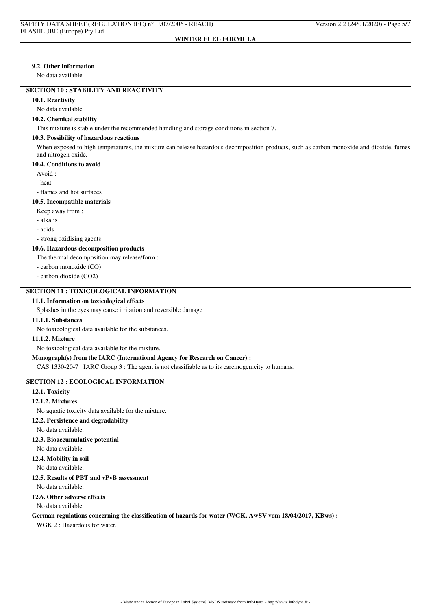#### **9.2. Other information**

No data available.

## **SECTION 10 : STABILITY AND REACTIVITY**

**10.1. Reactivity**

#### No data available.

### **10.2. Chemical stability**

This mixture is stable under the recommended handling and storage conditions in section 7.

#### **10.3. Possibility of hazardous reactions**

When exposed to high temperatures, the mixture can release hazardous decomposition products, such as carbon monoxide and dioxide, fumes and nitrogen oxide.

#### **10.4. Conditions to avoid**

Avoid :

- heat

- flames and hot surfaces

### **10.5. Incompatible materials**

- Keep away from :
- alkalis
- acids
- strong oxidising agents

### **10.6. Hazardous decomposition products**

The thermal decomposition may release/form :

- carbon monoxide (CO)
- carbon dioxide (CO2)

## **SECTION 11 : TOXICOLOGICAL INFORMATION**

#### **11.1. Information on toxicological effects**

Splashes in the eyes may cause irritation and reversible damage

### **11.1.1. Substances**

No toxicological data available for the substances.

#### **11.1.2. Mixture**

No toxicological data available for the mixture.

#### **Monograph(s) from the IARC (International Agency for Research on Cancer) :**

CAS 1330-20-7 : IARC Group 3 : The agent is not classifiable as to its carcinogenicity to humans.

## **SECTION 12 : ECOLOGICAL INFORMATION**

#### **12.1. Toxicity**

#### **12.1.2. Mixtures**

No aquatic toxicity data available for the mixture.

- **12.2. Persistence and degradability**
- No data available.

#### **12.3. Bioaccumulative potential**

No data available.

## **12.4. Mobility in soil**

No data available.

# **12.5. Results of PBT and vPvB assessment**

No data available.

# **12.6. Other adverse effects**

#### No data available.

#### **German regulations concerning the classification of hazards for water (WGK, AwSV vom 18/04/2017, KBws) :**

WGK 2 : Hazardous for water.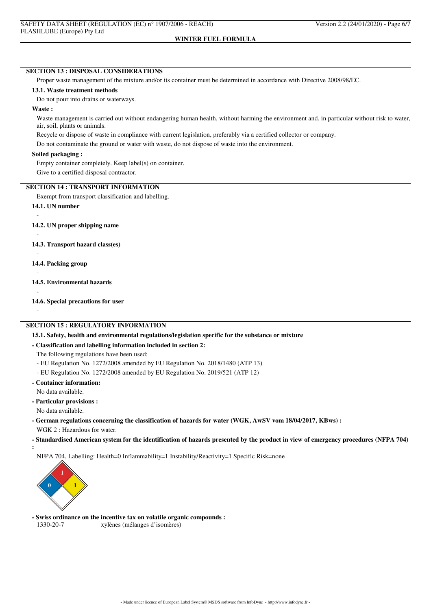#### **SECTION 13 : DISPOSAL CONSIDERATIONS**

Proper waste management of the mixture and/or its container must be determined in accordance with Directive 2008/98/EC.

### **13.1. Waste treatment methods**

Do not pour into drains or waterways.

#### **Waste :**

Waste management is carried out without endangering human health, without harming the environment and, in particular without risk to water, air, soil, plants or animals.

Recycle or dispose of waste in compliance with current legislation, preferably via a certified collector or company.

Do not contaminate the ground or water with waste, do not dispose of waste into the environment.

### **Soiled packaging :**

Empty container completely. Keep label(s) on container.

Give to a certified disposal contractor.

# **SECTION 14 : TRANSPORT INFORMATION**

Exempt from transport classification and labelling.

**14.1. UN number**

-

-

-

-

-

**14.2. UN proper shipping name**

- **14.3. Transport hazard class(es)**
- **14.4. Packing group**

**14.5. Environmental hazards**

- **14.6. Special precautions for user**
- -

#### **SECTION 15 : REGULATORY INFORMATION**

#### **15.1. Safety, health and environmental regulations/legislation specific for the substance or mixture**

### **- Classification and labelling information included in section 2:**

The following regulations have been used:

- EU Regulation No. 1272/2008 amended by EU Regulation No. 2018/1480 (ATP 13)
- EU Regulation No. 1272/2008 amended by EU Regulation No. 2019/521 (ATP 12)
- **Container information:**

No data available.

**- Particular provisions :**

No data available.

- **German regulations concerning the classification of hazards for water (WGK, AwSV vom 18/04/2017, KBws) :** WGK 2 : Hazardous for water.
- **Standardised American system for the identification of hazards presented by the product in view of emergency procedures (NFPA 704) :**

NFPA 704, Labelling: Health=0 Inflammability=1 Instability/Reactivity=1 Specific Risk=none



**- Swiss ordinance on the incentive tax on volatile organic compounds :** 1330-20-7 xylènes (mélanges d'isomères)